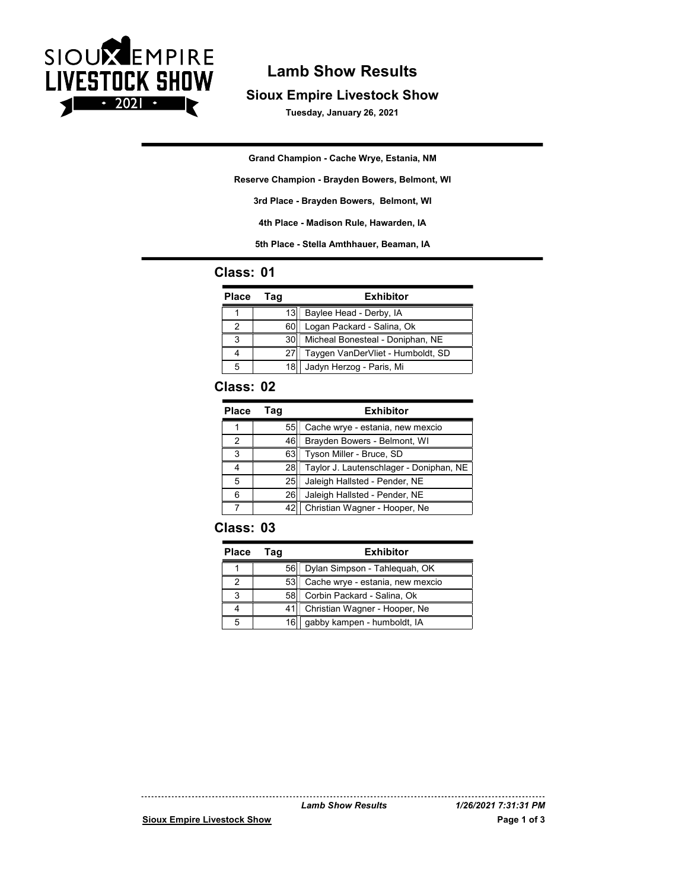

# Lamb Show Results

#### Sioux Empire Livestock Show

Tuesday, January 26, 2021

**Grand Champion - Cache Wrye, Estania, NM**

**Reserve Champion - Brayden Bowers, Belmont, WI**

**3rd Place - Brayden Bowers, Belmont, WI**

**4th Place - Madison Rule, Hawarden, IA**

**5th Place - Stella Amthhauer, Beaman, IA**

#### Class: 01

| <b>Place</b> | Taq  | <b>Exhibitor</b>                  |
|--------------|------|-----------------------------------|
|              | 13   | Baylee Head - Derby, IA           |
|              | 60   | Logan Packard - Salina, Ok        |
| ◠            | 30   | Micheal Bonesteal - Doniphan, NE  |
|              | 27   | Taygen VanDerVliet - Humboldt, SD |
| 5            | 18I. | Jadyn Herzog - Paris, Mi          |

#### Class: 02

| <b>Place</b> | Taq | <b>Exhibitor</b>                        |
|--------------|-----|-----------------------------------------|
|              | 55  | Cache wrye - estania, new mexcio        |
|              | 46  | Brayden Bowers - Belmont, WI            |
| 3            | 63  | Tyson Miller - Bruce, SD                |
| 4            | 281 | Taylor J. Lautenschlager - Doniphan, NE |
| 5            | 25  | Jaleigh Hallsted - Pender, NE           |
| 6            | 26  | Jaleigh Hallsted - Pender, NE           |
|              | 42  | Christian Wagner - Hooper, Ne           |

### Class: 03

| <b>Place</b> | Taɑ  | <b>Exhibitor</b>                   |
|--------------|------|------------------------------------|
|              | 56   | Dylan Simpson - Tahleguah, OK      |
|              | 53   | Cache wrye - estania, new mexcio   |
|              |      | 58 Corbin Packard - Salina, Ok     |
|              |      | 41   Christian Wagner - Hooper, Ne |
|              | 16 I | qabby kampen - humboldt, IA        |

Sioux Empire Livestock Show Page 1 of 3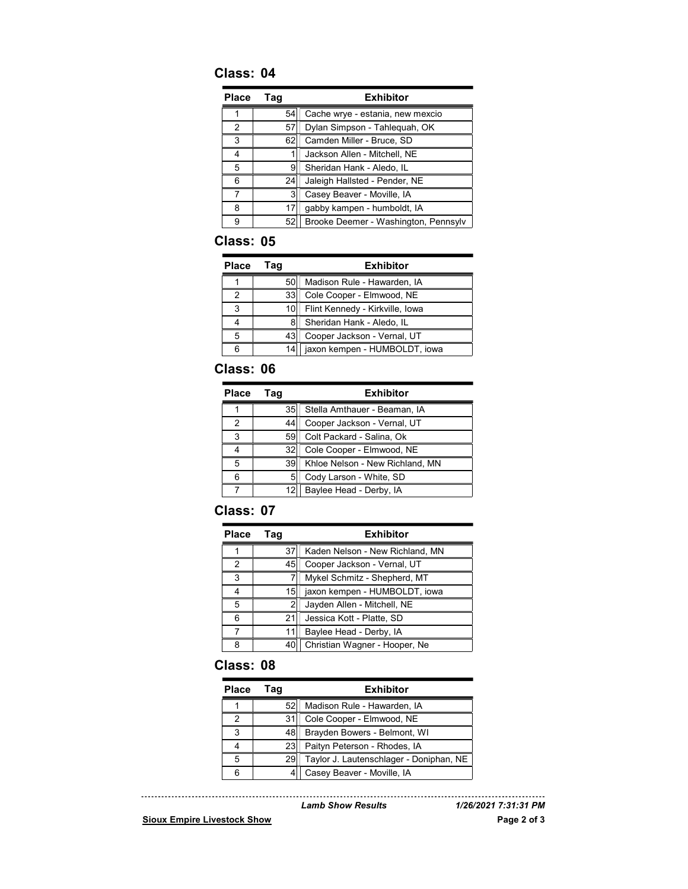## Class: 04

| <b>Place</b> | Tag | <b>Exhibitor</b>                     |
|--------------|-----|--------------------------------------|
|              | 54  | Cache wrye - estania, new mexcio     |
| 2            | 57  | Dylan Simpson - Tahleguah, OK        |
| 3            | 62  | Camden Miller - Bruce, SD            |
| 4            |     | Jackson Allen - Mitchell, NE         |
| 5            | 9   | Sheridan Hank - Aledo, IL            |
| 6            | 24  | Jaleigh Hallsted - Pender, NE        |
|              | 3   | Casey Beaver - Moville, IA           |
| 8            | 17  | gabby kampen - humboldt, IA          |
| 9            | 52  | Brooke Deemer - Washington, Pennsylv |

### Class: 05

| <b>Place</b> | Taɑ   | <b>Exhibitor</b>                |
|--------------|-------|---------------------------------|
|              | 50    | Madison Rule - Hawarden, IA     |
|              |       | 33 Cole Cooper - Elmwood, NE    |
| з            | 10I I | Flint Kennedy - Kirkville, Iowa |
| 4            | 8     | Sheridan Hank - Aledo, IL       |
| 5            |       | 43 Cooper Jackson - Vernal, UT  |
| 6            | 14 I  | jaxon kempen - HUMBOLDT, jowa   |

## Class: 06

| <b>Place</b> | Taq   | <b>Exhibitor</b>                  |
|--------------|-------|-----------------------------------|
|              |       | 35   Stella Amthauer - Beaman, IA |
| 2            | 441   | Cooper Jackson - Vernal, UT       |
| 3            |       | 59 Colt Packard - Salina, Ok      |
| 4            | 321   | Cole Cooper - Elmwood, NE         |
| 5            | 39I i | Khloe Nelson - New Richland, MN   |
| 6            | 51    | Cody Larson - White, SD           |
|              |       | Baylee Head - Derby, IA           |

## Class: 07

| <b>Place</b> | Taq | <b>Exhibitor</b>                |
|--------------|-----|---------------------------------|
|              | 37  | Kaden Nelson - New Richland, MN |
| 2            | 45  | Cooper Jackson - Vernal, UT     |
| 3            |     | Mykel Schmitz - Shepherd, MT    |
| 4            | 15H | jaxon kempen - HUMBOLDT, iowa   |
| 5            |     | Jayden Allen - Mitchell, NE     |
| 6            | 21  | Jessica Kott - Platte, SD       |
|              | 11  | Baylee Head - Derby, IA         |
| 8            | 40  | Christian Wagner - Hooper, Ne   |

### Class: 08

| <b>Place</b> | Гаа             | <b>Exhibitor</b>                        |
|--------------|-----------------|-----------------------------------------|
|              | 52 <sub>1</sub> | Madison Rule - Hawarden, IA             |
|              | 311             | Cole Cooper - Elmwood, NE               |
| 3            | 48H             | Brayden Bowers - Belmont, WI            |
| 4            | 23              | Paityn Peterson - Rhodes, IA            |
| 5            | 29              | Taylor J. Lautenschlager - Doniphan, NE |
| 6            |                 | Casey Beaver - Moville, IA              |